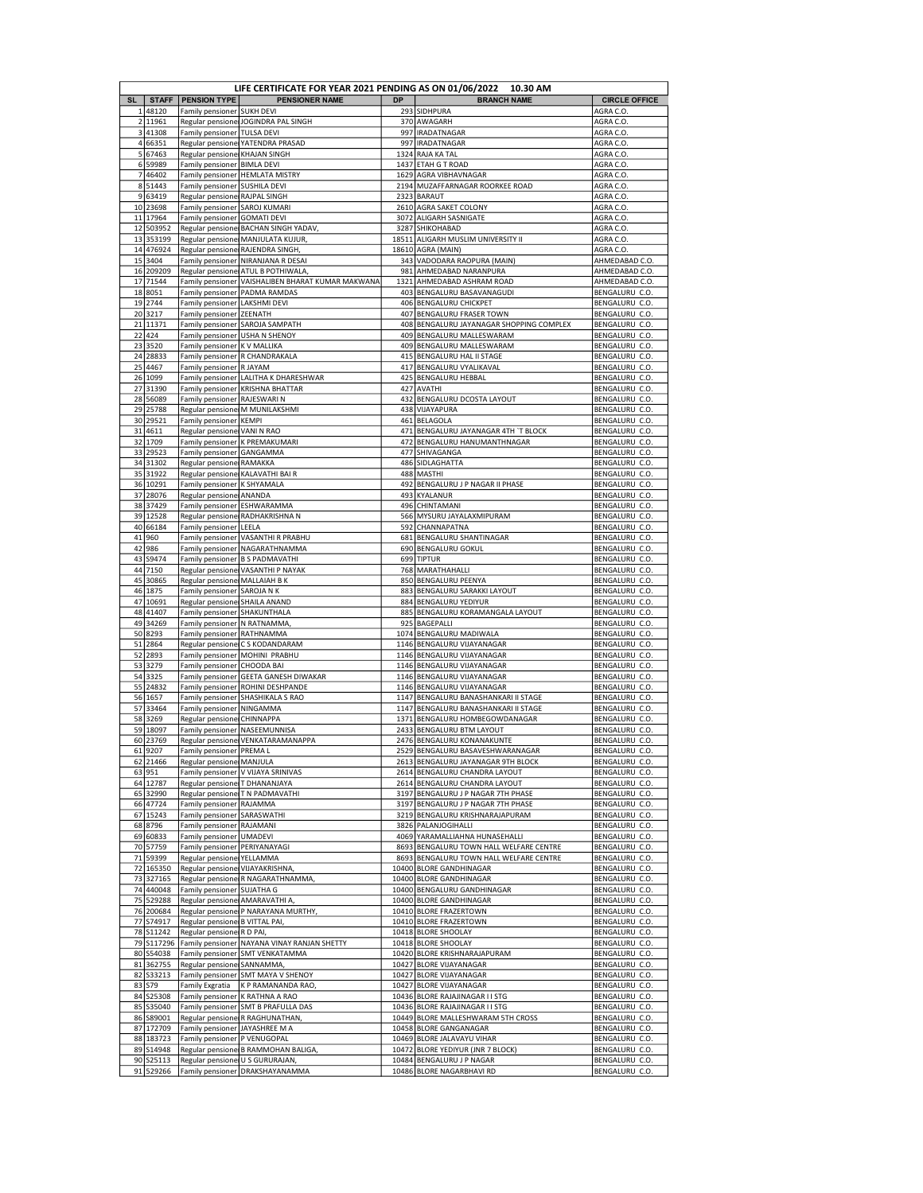|           |                        |                                       | LIFE CERTIFICATE FOR YEAR 2021 PENDING AS ON 01/06/2022 10.30 AM |           |                                                            |                                        |
|-----------|------------------------|---------------------------------------|------------------------------------------------------------------|-----------|------------------------------------------------------------|----------------------------------------|
| <b>SL</b> | <b>STAFF</b>           | <b>PENSION TYPE</b>                   | <b>PENSIONER NAME</b>                                            | <b>DP</b> | <b>BRANCH NAME</b>                                         | <b>CIRCLE OFFICE</b>                   |
|           | 148120<br>2 11961      | Family pensioner                      | <b>SUKH DEVI</b><br>Regular pensione JOGINDRA PAL SINGH          |           | 293 SIDHPURA<br>370 AWAGARH                                | AGRA C.O.                              |
|           | 3 41308                | Family pensioner                      | <b>TULSA DEVI</b>                                                | 997       | <b>IRADATNAGAR</b>                                         | AGRA C.O.<br>AGRA C.O.                 |
|           | 4 66351                | Regular pensione                      | YATENDRA PRASAD                                                  |           | 997 IRADATNAGAR                                            | AGRA C.O.                              |
|           | 5 67463                | Regular pensione KHAJAN SINGH         |                                                                  |           | 1324 RAJA KA TAL                                           | AGRA C.O.                              |
|           | 6 59989                | Family pensioner                      | <b>BIMLA DEVI</b>                                                |           | 1437 ETAH G T ROAD                                         | AGRA C.O                               |
|           | 7 46402                | Family pensioner                      | <b>HEMLATA MISTRY</b>                                            | 1629      | AGRA VIBHAVNAGAR                                           | AGRA C.O.                              |
|           | 8 5 1 4 4 3            | Family pensioner                      | <b>SUSHILA DEVI</b>                                              |           | 2194 MUZAFFARNAGAR ROORKEE ROAD                            | AGRA C.O.                              |
|           | 9 63419                | Regular pensionel                     | <b>RAJPAL SINGH</b>                                              |           | 2323 BARAUT                                                | AGRA C.O                               |
|           | 10 23698<br>11 17964   | Family pensioner<br>Family pensioner  | SAROJ KUMARI<br><b>GOMATI DEVI</b>                               |           | 2610 AGRA SAKET COLONY<br>3072 ALIGARH SASNIGATE           | AGRA C.O.<br>AGRA C.O.                 |
|           | 12 503952              |                                       | Regular pensione BACHAN SINGH YADAV                              |           | 3287 SHIKOHABAD                                            | AGRA C.O.                              |
|           | 13 353199              | Regular pensionel                     | MANJULATA KUJUR,                                                 |           | 18511 ALIGARH MUSLIM UNIVERSITY II                         | AGRA C.O.                              |
|           | 14 476924              | Regular pensionel                     | RAJENDRA SINGH                                                   |           | 18610 AGRA (MAIN)                                          | AGRA C.O.                              |
|           | 15 3404                | Family pensioner                      | NIRANJANA R DESAI                                                |           | 343 VADODARA RAOPURA (MAIN)                                | AHMEDABAD C.O.                         |
|           | 16 209209              | Regular pensionel                     | ATUL B POTHIWALA                                                 |           | 981 AHMEDABAD NARANPURA                                    | AHMEDABAD C.O.                         |
| 17        | 71544                  | Family pensioner                      | VAISHALIBEN BHARAT KUMAR MAKWANA<br>PADMA RAMDAS                 | 1321      | AHMEDABAD ASHRAM ROAD                                      | AHMEDABAD C.O.                         |
|           | 18 8051<br>19 2744     | Family pensioner<br>Family pensioner  | LAKSHMI DEVI                                                     | 403       | BENGALURU BASAVANAGUDI<br>406 BENGALURU CHICKPET           | BENGALURU C.O.<br>BENGALURU C.O.       |
|           | 20 3217                | Family pensioner                      | <b>ZEENATH</b>                                                   |           | 407 BENGALURU FRASER TOWN                                  | BENGALURU C.O                          |
|           | 21 11371               | Family pensioner                      | SAROJA SAMPATH                                                   | 408       | BENGALURU JAYANAGAR SHOPPING COMPLEX                       | BENGALURU C.O.                         |
|           | 22 424                 | Family pensioner                      | <b>USHA N SHENOY</b>                                             |           | 409 BENGALURU MALLESWARAM                                  | BENGALURU C.O.                         |
|           | 23 3520                | Family pensioner                      | <b>K V MALLIKA</b>                                               |           | 409 BENGALURU MALLESWARAM                                  | BENGALURU C.O.                         |
|           | 24 28833               |                                       | Family pensioner R CHANDRAKALA                                   | 415       | <b>BENGALURU HAL II STAGE</b>                              | BENGALURU C.O.                         |
| 25        | 4467                   | Family pensioner                      | R JAYAM                                                          |           | 417 BENGALURU VYALIKAVAL                                   | BENGALURU C.O.                         |
|           | 26 1099<br>27 31390    | Family pensioner                      | LALITHA K DHARESHWAR<br><b>KRISHNA BHATTAR</b>                   | 427       | 425 BENGALURU HEBBAL<br><b>AVATHI</b>                      | BENGALURU C.O.<br>BENGALURU C.O.       |
|           | 28 56089               | Family pensioner<br>Family pensioner  | <b>RAJESWARI N</b>                                               |           | 432 BENGALURU DCOSTA LAYOUT                                | BENGALURU C.O.                         |
|           | 29 25788               | Regular pensione                      | M MUNILAKSHMI                                                    | 438       | VIJAYAPURA                                                 | BENGALURU C.O.                         |
|           | 30 29521               | Family pensioner   KEMPI              |                                                                  |           | 461 BELAGOLA                                               | BENGALURU C.O.                         |
|           | 31 4611                | Regular pensione VANI N RAO           |                                                                  |           | 471 BENGALURU JAYANAGAR 4TH 'T BLOCK                       | BENGALURU C.O.                         |
| 32        | 1709                   | Family pensioner                      | K PREMAKUMARI                                                    | 472       | <b>BENGALURU HANUMANTHNAGAR</b>                            | BENGALURU C.O.                         |
|           | 33 29523               | Family pensioner                      | GANGAMMA                                                         | 477       | SHIVAGANGA                                                 | BENGALURU C.O                          |
|           | 34 31302               | Regular pensionel                     | RAMAKKA                                                          |           | 486 SIDLAGHATTA                                            | BENGALURU C.O.                         |
|           | 35 31922<br>36 10291   | Family pensioner                      | Regular pensione KALAVATHI BAI R<br>K SHYAMALA                   | 488       | <b>MASTHI</b><br>492 BENGALURU J P NAGAR II PHASE          | BENGALURU C.O.<br>BENGALURU C.O.       |
|           | 37 28076               | Regular pensionel                     | <b>ANANDA</b>                                                    |           | 493 KYALANUR                                               | BENGALURU C.O.                         |
|           | 38 37429               | Family pensioner                      | <b>ESHWARAMMA</b>                                                | 496       | CHINTAMANI                                                 | BENGALURU C.O                          |
|           | 39 12528               | Regular pensionel                     | RADHAKRISHNA N                                                   |           | 566 MYSURU JAYALAXMIPURAM                                  | BENGALURU C.O.                         |
|           | 40 66184               | Family pensioner                      | LEELA                                                            | 592       | CHANNAPATNA                                                | BENGALURU C.O.                         |
| 41        | 960                    | Family pensioner                      | VASANTHI R PRABHU                                                | 681       | BENGALURU SHANTINAGAR                                      | BENGALURU C.O.                         |
| 42        | 986                    | Family pensioner                      | NAGARATHNAMMA                                                    |           | 690 BENGALURU GOKUL                                        | BENGALURU C.O.                         |
| 43        | S9474                  | Family pensioner                      | <b>B S PADMAVATHI</b>                                            | 699       | <b>TIPTUR</b>                                              | BENGALURU C.O.                         |
| 45        | 44 7150<br>30865       | Regular pensionel                     | Regular pensione VASANTHI P NAYAK<br>MALLAIAH B K                |           | 768 MARATHAHALLI<br>850 BENGALURU PEENYA                   | BENGALURU C.O.<br>BENGALURU C.O.       |
|           | 46 1875                | Family pensioner                      | SAROJA N K                                                       |           | 883 BENGALURU SARAKKI LAYOUT                               | BENGALURU C.O.                         |
|           | 47 10691               | Regular pensione SHAILA ANAND         |                                                                  |           | 884 BENGALURU YEDIYUR                                      | BENGALURU C.O.                         |
|           | 48 41407               | Family pensioner                      | SHAKUNTHALA                                                      |           | 885 BENGALURU KORAMANGALA LAYOUT                           | BENGALURU C.O.                         |
| 49        | 34269                  | Family pensioner                      | N RATNAMMA                                                       |           | 925 BAGEPALLI                                              | BENGALURU C.O.                         |
|           | 50 8293                | Family pensioner                      | RATHNAMMA                                                        |           | 1074 BENGALURU MADIWALA                                    | BENGALURU C.O.                         |
| 51        | 2864                   | Regular pensionel                     | C S KODANDARAM                                                   |           | 1146 BENGALURU VIJAYANAGAR<br>1146 BENGALURU VIJAYANAGAR   | BENGALURU C.O.                         |
| 52        | 2893<br>53 3279        | Family pensioner                      | Family pensioner   MOHINI PRABHU<br><b>CHOODA BAI</b>            |           | 1146 BENGALURU VIJAYANAGAR                                 | BENGALURU C.O.<br>BENGALURU C.O.       |
|           | 54 3325                | Family pensioner                      | <b>GEETA GANESH DIWAKAR</b>                                      |           | 1146 BENGALURU VIJAYANAGAR                                 | BENGALURU C.O.                         |
| 55        | 24832                  | Family pensioner                      | ROHINI DESHPANDE                                                 |           | 1146 BENGALURU VIJAYANAGAR                                 | BENGALURU C.O.                         |
|           | 56 1657                | Family pensioner                      | SHASHIKALA S RAO                                                 | 1147      | BENGALURU BANASHANKARI II STAGE                            | BENGALURU C.O.                         |
| 57        | 33464                  | Family pensioner                      | NINGAMMA                                                         | 1147      | BENGALURU BANASHANKARI II STAGE                            | BENGALURU C.O.                         |
|           | 58 3269                | Regular pensionel                     | CHINNAPPA                                                        |           | 1371 BENGALURU HOMBEGOWDANAGAR                             | BENGALURU C.O                          |
| 59<br>60  | 18097<br>23769         | Family pensioner<br>Regular pensionel | NASEEMUNNISA<br>VENKATARAMANAPPA                                 |           | 2433 BENGALURU BTM LAYOUT<br>2476 BENGALURU KONANAKUNTE    | BENGALURU C.O<br><b>BENGALURU C.O.</b> |
|           | 61 9207                | Family pensioner PREMA L              |                                                                  |           | 2529 BENGALURU BASAVESHWARANAGAR                           | BENGALURU C.O.                         |
|           | 62 21466               | Regular pensione MANJULA              |                                                                  |           | 2613 BENGALURU JAYANAGAR 9TH BLOCK                         | BENGALURU C.O.                         |
|           | 63 951                 |                                       | Family pensioner V VIJAYA SRINIVAS                               |           | 2614 BENGALURU CHANDRA LAYOUT                              | BENGALURU C.O.                         |
|           | 64 12787               | Regular pensione T DHANANJAYA         |                                                                  |           | 2614 BENGALURU CHANDRA LAYOUT                              | BENGALURU C.O.                         |
|           | 65 32990               |                                       | Regular pensione T N PADMAVATHI                                  |           | 3197 BENGALURU J P NAGAR 7TH PHASE                         | BENGALURU C.O.                         |
|           | 66 47724               | Family pensioner   RAJAMMA            |                                                                  |           | 3197 BENGALURU J P NAGAR 7TH PHASE                         | BENGALURU C.O.                         |
|           | 67 15243<br>68 8796    | Family pensioner<br>Family pensioner  | SARASWATHI<br>RAJAMANI                                           |           | 3219 BENGALURU KRISHNARAJAPURAM<br>3826 PALANJOGIHALLI     | BENGALURU C.O.<br>BENGALURU C.O.       |
|           | 69 60833               | Family pensioner UMADEVI              |                                                                  |           | 4069 YARAMALLIAHNA HUNASEHALLI                             | BENGALURU C.O.                         |
|           | 70 57759               | Family pensioner   PERIYANAYAGI       |                                                                  |           | 8693 BENGALURU TOWN HALL WELFARE CENTRE                    | BENGALURU C.O.                         |
|           | 71 59399               | Regular pensione YELLAMMA             |                                                                  |           | 8693 BENGALURU TOWN HALL WELFARE CENTRE                    | BENGALURU C.O.                         |
|           | 72 165350              | Regular pensione VIJAYAKRISHNA,       |                                                                  |           | 10400 BLORE GANDHINAGAR                                    | BENGALURU C.O.                         |
|           | 73 327165              | Regular pensionel                     | R NAGARATHNAMMA,                                                 |           | 10400 BLORE GANDHINAGAR                                    | BENGALURU C.O.                         |
|           | 74 440048              | Family pensioner                      | SUJATHA G                                                        |           | 10400 BENGALURU GANDHINAGAR                                | BENGALURU C.O.                         |
| 75        | 529288<br>76 200684    | Regular pensione AMARAVATHI A,        | Regular pensione P NARAYANA MURTHY                               |           | 10400 BLORE GANDHINAGAR<br>10410 BLORE FRAZERTOWN          | BENGALURU C.O.<br>BENGALURU C.O.       |
|           | 77 S74917              | Regular pensione B VITTAL PAI,        |                                                                  |           | 10410 BLORE FRAZERTOWN                                     | BENGALURU C.O.                         |
|           | 78 S11242              | Regular pensione R D PAI              |                                                                  |           | 10418 BLORE SHOOLAY                                        | BENGALURU C.O.                         |
|           | 79 S117296             | Family pensioner                      | NAYANA VINAY RANJAN SHETTY                                       |           | 10418 BLORE SHOOLAY                                        | BENGALURU C.O.                         |
|           | 80 S54038              | Family pensioner                      | <b>SMT VENKATAMMA</b>                                            |           | 10420 BLORE KRISHNARAJAPURAM                               | BENGALURU C.O.                         |
| 81        | 362755                 | Regular pensione SANNAMMA,            |                                                                  |           | 10427 BLORE VIJAYANAGAR                                    | BENGALURU C.O.                         |
| 82        | S33213                 | Family pensioner                      | SMT MAYA V SHENOY                                                |           | 10427 BLORE VIJAYANAGAR                                    | BENGALURU C.O.                         |
|           | 83 S79<br>84 S25308    | Family Exgratia<br>Family pensioner   | K P RAMANANDA RAO,<br>K RATHNA A RAO                             |           | 10427 BLORE VIJAYANAGAR<br>10436 BLORE RAJAJINAGAR I I STG | BENGALURU C.O.<br>BENGALURU C.O.       |
|           | 85 S35040              | Family pensioner                      | <b>SMT B PRAFULLA DAS</b>                                        |           | 10436 BLORE RAJAJINAGAR I I STG                            | BENGALURU C.O.                         |
|           | 86 S89001              |                                       | Regular pensione R RAGHUNATHAN,                                  |           | 10449 BLORE MALLESHWARAM 5TH CROSS                         | BENGALURU C.O.                         |
|           | 87 172709              | Family pensioner                      | JAYASHREE M A                                                    |           | 10458 BLORE GANGANAGAR                                     | BENGALURU C.O.                         |
|           | 88 183723              | Family pensioner   P VENUGOPAL        |                                                                  |           | 10469 BLORE JALAVAYU VIHAR                                 | BENGALURU C.O.                         |
|           | 89 S14948              |                                       | Regular pensione B RAMMOHAN BALIGA,                              |           | 10472 BLORE YEDIYUR (JNR 7 BLOCK)                          | BENGALURU C.O.                         |
|           | 90 S25113<br>91 529266 | Regular pensione U S GURURAJAN        | Family pensioner   DRAKSHAYANAMMA                                |           | 10484 BENGALURU J P NAGAR<br>10486 BLORE NAGARBHAVI RD     | BENGALURU C.O.<br>BENGALURU C.O.       |
|           |                        |                                       |                                                                  |           |                                                            |                                        |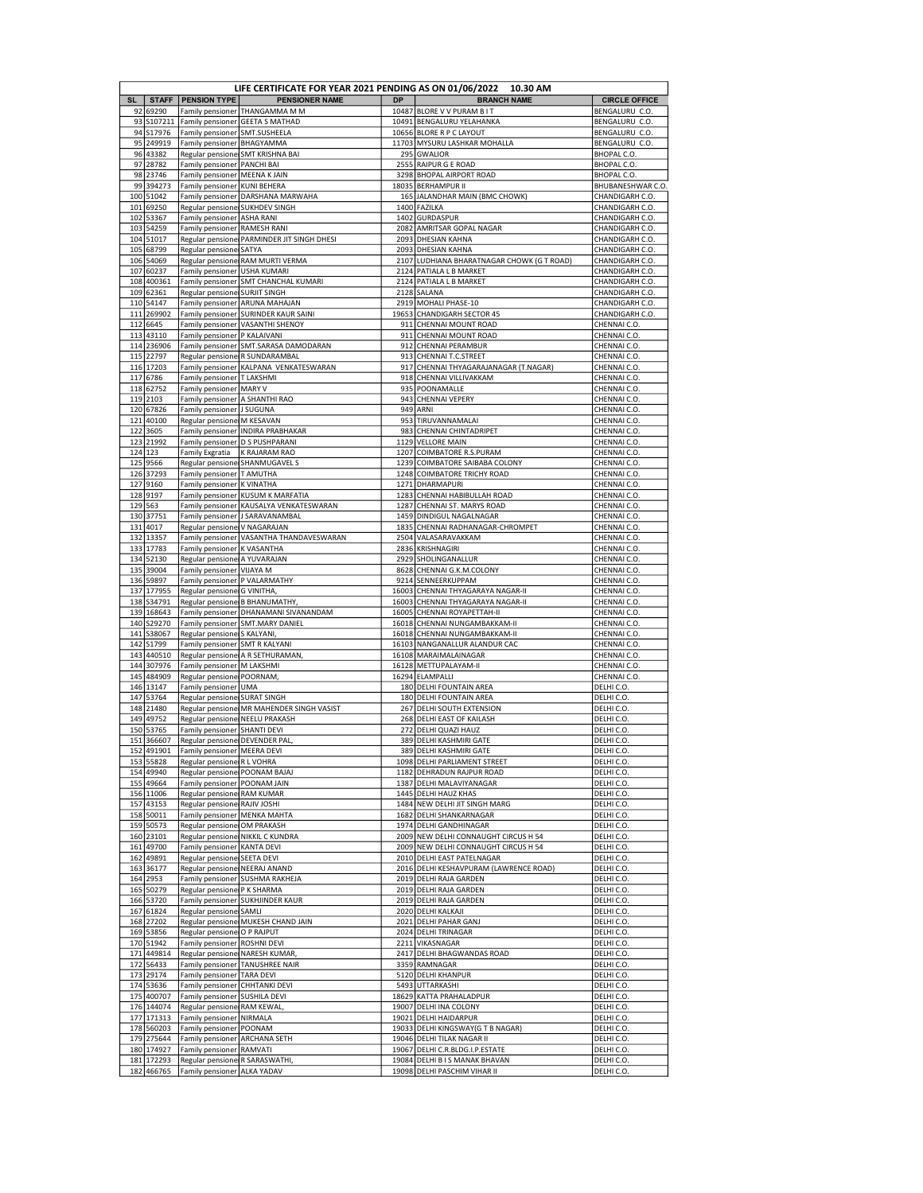|            |                         |                                                                | LIFE CERTIFICATE FOR YEAR 2021 PENDING AS ON 01/06/2022 10.30 AM |              |                                                                  |                                    |
|------------|-------------------------|----------------------------------------------------------------|------------------------------------------------------------------|--------------|------------------------------------------------------------------|------------------------------------|
| <b>SL</b>  | <b>STAFF</b>            | <b>PENSION TYPE</b>                                            | <b>PENSIONER NAME</b>                                            | <b>DP</b>    | <b>BRANCH NAME</b>                                               | <b>CIRCLE OFFICE</b>               |
| 92         | 69290                   |                                                                | Family pensioner THANGAMMA M M                                   | 10487        | <b>BLORE V V PURAM B IT</b><br>10491 BENGALURU YELAHANKA         | BENGALURU C.O.                     |
| 93         | S107211<br>94 S17976    | Family pensioner<br>Family pensioner                           | <b>GEETA S MATHAD</b><br>SMT.SUSHEELA                            |              | 10656 BLORE R P C LAYOUT                                         | BENGALURU C.O.<br>BENGALURU C.O.   |
| 95         | 249919                  | Family pensioner                                               | <b>BHAGYAMMA</b>                                                 | 11703        | MYSURU LASHKAR MOHALLA                                           | BENGALURU C.O.                     |
| 96         | 43382                   |                                                                | Regular pensione SMT KRISHNA BAI                                 |              | 295 GWALIOR                                                      | BHOPAL C.O.                        |
| 97         | 28782                   | Family pensioner                                               | <b>PANCHI BAI</b>                                                | 2555         | RAIPUR G E ROAD                                                  | BHOPAL C.O.                        |
| 98         | 23746                   | Family pensioner                                               | <b>MEENA K JAIN</b>                                              | 3298         | <b>BHOPAL AIRPORT ROAD</b>                                       | BHOPAL C.O.                        |
| 99         | 394273                  | Family pensioner   KUNI BEHERA                                 |                                                                  |              | 18035 BERHAMPUR II                                               | BHUBANESHWAR C.O.                  |
| 100        | 51042                   |                                                                | Family pensioner   DARSHANA MARWAHA                              | 165          | JALANDHAR MAIN (BMC CHOWK)                                       | CHANDIGARH C.O                     |
| 101        | 69250                   | Regular pensione SUKHDEV SINGH                                 |                                                                  |              | 1400 FAZILKA                                                     | CHANDIGARH C.O.                    |
| 102        | 53367                   | Family pensioner                                               | <b>ASHA RANI</b>                                                 | 1402         | GURDASPUR                                                        | CHANDIGARH C.O.                    |
| 103<br>104 | 54259<br>51017          | Family pensioner                                               | <b>RAMESH RANI</b><br>Regular pensione PARMINDER JIT SINGH DHESI | 2082<br>2093 | AMRITSAR GOPAL NAGAR<br><b>DHESIAN KAHNA</b>                     | CHANDIGARH C.O.<br>CHANDIGARH C.O. |
| 105        | 68799                   | Regular pensione SATYA                                         |                                                                  |              | 2093 DHESIAN KAHNA                                               | CHANDIGARH C.O.                    |
| 106        | 54069                   |                                                                | Regular pensione RAM MURTI VERMA                                 |              | 2107 LUDHIANA BHARATNAGAR CHOWK (G T ROAD)                       | CHANDIGARH C.O.                    |
| 107        | 60237                   | Family pensioner USHA KUMARI                                   |                                                                  |              | 2124 PATIALA L B MARKET                                          | CHANDIGARH C.O.                    |
|            | 108 400361              | Family pensioner                                               | <b>SMT CHANCHAL KUMARI</b>                                       |              | 2124 PATIALA L B MARKET                                          | CHANDIGARH C.O                     |
| 109        | 62361                   | Regular pensione SURJIT SINGH                                  |                                                                  | 2128         | SALANA                                                           | CHANDIGARH C.O.                    |
|            | 110 54147               |                                                                | Family pensioner ARUNA MAHAJAN                                   |              | 2919 MOHALI PHASE-10                                             | CHANDIGARH C.O.                    |
| 111        | 269902                  |                                                                | Family pensioner SURINDER KAUR SAINI                             | 19653        | CHANDIGARH SECTOR 45                                             | CHANDIGARH C.O                     |
| 112        | 6645                    | Family pensioner                                               | <b>VASANTHI SHENOY</b>                                           | 911          | CHENNAI MOUNT ROAD                                               | CHENNAI C.O.                       |
|            | 113 43110<br>114 236906 | Family pensioner   P KALAIVANI<br>Family pensioner             | SMT.SARASA DAMODARAN                                             | 912          | 911 CHENNAI MOUNT ROAD<br><b>CHENNAI PERAMBUR</b>                | CHENNAI C.O.<br>CHENNAI C.O.       |
|            | 115 22797               |                                                                | Regular pensione R SUNDARAMBAL                                   | 913          | CHENNAI T.C.STREET                                               | CHENNAI C.O.                       |
|            | 116 17203               |                                                                | Family pensioner KALPANA VENKATESWARAN                           | 917          | CHENNAI THYAGARAJANAGAR (T.NAGAR)                                | CHENNAI C.O.                       |
|            | 117 6786                | Family pensioner   T LAKSHMI                                   |                                                                  |              | 918 CHENNAI VILLIVAKKAM                                          | CHENNAI C.O.                       |
|            | 118 62752               | Family pensioner   MARY V                                      |                                                                  | 935          | POONAMALLE                                                       | CHENNAI C.O.                       |
|            | 119 2103                | Family pensioner   A SHANTHI RAO                               |                                                                  | 943          | <b>CHENNAI VEPERY</b>                                            | CHENNAI C.O.                       |
|            | 120 67826               | Family pensioner                                               | J SUGUNA                                                         | 949          | ARNI                                                             | CHENNAI C.O.                       |
| 121        | 40100                   | Regular pensione M KESAVAN                                     |                                                                  | 953          | TIRUVANNAMALAI                                                   | CHENNAI C.O.                       |
| 122        | 3605                    | Family pensioner                                               | <b>INDIRA PRABHAKAR</b>                                          | 983          | <b>CHENNAI CHINTADRIPET</b>                                      | CHENNAI C.O.                       |
| 123        | 21992<br>124 123        | Family pensioner                                               | <b>D S PUSHPARANI</b>                                            | 1129<br>1207 | <b>VELLORE MAIN</b>                                              | CHENNAI C.O.<br>CHENNAI C.O.       |
|            | 125 9566                | Family Exgratia                                                | K RAJARAM RAO<br>Regular pensione SHANMUGAVEL S                  | 1239         | COIMBATORE R.S.PURAM<br>COIMBATORE SAIBABA COLONY                | CHENNAI C.O.                       |
|            | 126 37293               | Family pensioner                                               | <b>T AMUTHA</b>                                                  | 1248         | <b>COIMBATORE TRICHY ROAD</b>                                    | CHENNAI C.O.                       |
|            | 127 9160                | Family pensioner K VINATHA                                     |                                                                  | 1271         | DHARMAPURI                                                       | CHENNAI C.O.                       |
|            | 128 9197                | Family pensioner                                               | KUSUM K MARFATIA                                                 | 1283         | CHENNAI HABIBULLAH ROAD                                          | CHENNAI C.O.                       |
| 129        | 563                     | Family pensioner                                               | KAUSALYA VENKATESWARAN                                           | 1287         | CHENNAI ST. MARYS ROAD                                           | CHENNAI C.O.                       |
| 130        | 37751                   |                                                                | Family pensioner J SARAVANAMBAL                                  | 1459         | DINDIGUL NAGALNAGAR                                              | CHENNAI C.O.                       |
|            | 131 4017                | Regular pensione V NAGARAJAN                                   |                                                                  | 1835         | CHENNAI RADHANAGAR-CHROMPET                                      | CHENNAI C.O.                       |
|            | 132 13357               |                                                                | Family pensioner   VASANTHA THANDAVESWARAN                       |              | 2504 VALASARAVAKKAM                                              | CHENNAI C.O.                       |
|            | 133 17783               | Family pensioner                                               | K VASANTHA                                                       | 2836         | KRISHNAGIRI                                                      | CHENNAI C.O.                       |
| 134        | 52130                   | Regular pensione                                               | A YUVARAJAN                                                      | 2929         | SHOLINGANALLUR                                                   | CHENNAI C.O.                       |
|            | 135 39004<br>136 59897  | Family pensioner   VIJAYA M                                    | P VALARMATHY                                                     |              | 8628 CHENNAI G.K.M.COLONY<br>9214 SENNEERKUPPAM                  | CHENNAI C.O.                       |
|            | 137 177955              | Family pensioner<br>Regular pensione G VINITHA                 |                                                                  |              | 16003 CHENNAI THYAGARAYA NAGAR-II                                | CHENNAI C.O.<br>CHENNAI C.O.       |
|            | 138 S34791              |                                                                | Regular pensione B BHANUMATHY,                                   | 16003        | CHENNAI THYAGARAYA NAGAR-II                                      | CHENNAI C.O.                       |
|            | 139 168643              |                                                                | Family pensioner   DHANAMANI SIVANANDAM                          | 16005        | CHENNAI ROYAPETTAH-II                                            | CHENNAI C.O.                       |
| 140        | S29270                  |                                                                | Family pensioner SMT.MARY DANIEL                                 |              | 16018 CHENNAI NUNGAMBAKKAM-II                                    | CHENNAI C.O.                       |
| 141        | S38067                  | Regular pensione S KALYANI,                                    |                                                                  | 16018        | CHENNAI NUNGAMBAKKAM-II                                          | CHENNAI C.O.                       |
| 142        | S1799                   | Family pensioner                                               | <b>SMT R KALYANI</b>                                             | 16103        | NANGANALLUR ALANDUR CAC                                          | CHENNAI C.O.                       |
| 143        | 440510                  |                                                                | Regular pensione A R SETHURAMAN,                                 |              | 16108 MARAIMALAINAGAR                                            | CHENNAI C.O.                       |
| 144        | 307976                  | Family pensioner   M LAKSHMI                                   |                                                                  |              | 16128 METTUPALAYAM-II                                            | CHENNAI C.O.                       |
| 145        | 484909<br>146 13147     | Regular pensione POORNAM                                       |                                                                  | 16294        | ELAMPALLI<br>180 DELHI FOUNTAIN AREA                             | CHENNAI C.O.<br>DELHI C.O.         |
| 147        | 53764                   | Family pensioner UMA<br>Regular pensione                       | <b>SURAT SINGH</b>                                               | 180          | <b>DELHI FOUNTAIN AREA</b>                                       | DELHI C.O.                         |
| 148        | 21480                   |                                                                | Regular pensione MR MAHENDER SINGH VASIST                        | 267          | DELHI SOUTH EXTENSION                                            | DELHI C.O.                         |
| 149        | 49752                   | Regular pensione NEELU PRAKASH                                 |                                                                  |              | 268 DELHI EAST OF KAILASH                                        | DELHI C.O.                         |
| 150        | 53765                   | Family pensioner SHANTI DEVI                                   |                                                                  | 272          | <b>DELHI QUAZI HAUZ</b>                                          | DELHI C.O.                         |
|            | 151 366607              | Regular pensione DEVENDER PAL                                  |                                                                  | 389          | <b>DELHI KASHMIRI GATE</b>                                       | DELHI C.O.                         |
|            | 152 491901              | Family pensioner   MEERA DEVI                                  |                                                                  |              | 389 DELHI KASHMIRI GATE                                          | DELHI C.O.                         |
|            | 153 55828               | Regular pensione R L VOHRA                                     |                                                                  |              | 1098 DELHI PARLIAMENT STREET                                     | DELHI C.O.                         |
|            | 154 49940               | Regular pensione POONAM BAJAJ                                  |                                                                  | 1182         | <b>DEHRADUN RAJPUR ROAD</b>                                      | DELHI C.O.                         |
|            | 155 49664               | Family pensioner POONAM JAIN                                   |                                                                  |              | 1387 DELHI MALAVIYANAGAR                                         | DELHI C.O.                         |
|            | 156 11006               | Regular pensione RAM KUMAR                                     |                                                                  |              | 1445 DELHI HAUZ KHAS                                             | DELHI C.O.                         |
|            | 157 43153<br>158 50011  | Regular pensione RAJIV JOSHI<br>Family pensioner   MENKA MAHTA |                                                                  |              | 1484 NEW DELHI JIT SINGH MARG<br>1682 DELHI SHANKARNAGAR         | DELHI C.O.<br>DELHI C.O.           |
| 159        | 50573                   | Regular pensione OM PRAKASH                                    |                                                                  |              | 1974 DELHI GANDHINAGAR                                           | DELHI C.O.                         |
|            | 160 23101               |                                                                | Regular pensione NIKKIL C KUNDRA                                 |              | 2009 NEW DELHI CONNAUGHT CIRCUS H 54                             | DELHI C.O.                         |
|            | 161 49700               | Family pensioner KANTA DEVI                                    |                                                                  |              | 2009 NEW DELHI CONNAUGHT CIRCUS H 54                             | DELHI C.O.                         |
|            | 162 49891               | Regular pensione SEETA DEVI                                    |                                                                  |              | 2010 DELHI EAST PATELNAGAR                                       | DELHI C.O.                         |
|            | 163 36177               | Regular pensione NEERAJ ANAND                                  |                                                                  |              | 2016 DELHI KESHAVPURAM (LAWRENCE ROAD)                           | DELHI C.O.                         |
|            | 164 2953                | Family pensioner                                               | <b>SUSHMA RAKHEJA</b>                                            |              | 2019 DELHI RAJA GARDEN                                           | DELHI C.O.                         |
|            | 165 50279               | Regular pensione P K SHARMA                                    |                                                                  |              | 2019 DELHI RAJA GARDEN                                           | DELHI C.O.                         |
|            | 166 53720               |                                                                | Family pensioner SUKHJINDER KAUR                                 |              | 2019 DELHI RAJA GARDEN                                           | DELHI C.O.                         |
|            | 167 61824               | Regular pensione SAMLI                                         |                                                                  |              | 2020 DELHI KALKAJI                                               | DELHI C.O.                         |
|            | 168 27202<br>169 53856  | Regular pensione O P RAJPUT                                    | Regular pensione MUKESH CHAND JAIN                               |              | 2021 DELHI PAHAR GANJ<br>2024 DELHI TRINAGAR                     | DELHI C.O.<br>DELHI C.O.           |
|            | 170 51942               | Family pensioner                                               | <b>ROSHNI DEVI</b>                                               | 2211         | VIKASNAGAR                                                       | DELHI C.O.                         |
|            | 171 449814              | Regular pensione NARESH KUMAR,                                 |                                                                  |              | 2417 DELHI BHAGWANDAS ROAD                                       | DELHI C.O.                         |
|            | 172 56433               |                                                                | Family pensioner TANUSHREE NAIR                                  |              | 3359 RAMNAGAR                                                    | DELHI C.O.                         |
| 173        | 29174                   | Family pensioner                                               | <b>TARA DEVI</b>                                                 |              | 5120 DELHI KHANPUR                                               | DELHI C.O.                         |
|            | 174 53636               | Family pensioner CHHTANKI DEVI                                 |                                                                  |              | 5493 UTTARKASHI                                                  | DELHI C.O.                         |
|            | 175 400707              | Family pensioner                                               | <b>SUSHILA DEVI</b>                                              |              | 18629 KATTA PRAHALADPUR                                          | DELHI C.O.                         |
|            | 176 144074              | Regular pensione RAM KEWAL,                                    |                                                                  |              | 19007 DELHI INA COLONY                                           | DELHI C.O.                         |
|            | 177 171313              | Family pensioner   NIRMALA                                     |                                                                  |              | 19021 DELHI HAIDARPUR                                            | DELHI C.O.                         |
| 179        | 178 560203<br>275644    | Family pensioner   POONAM                                      |                                                                  |              | 19033 DELHI KINGSWAY (G T B NAGAR)<br>19046 DELHI TILAK NAGAR II | DELHI C.O.<br>DELHI C.O.           |
|            | 180 174927              | Family pensioner ARCHANA SETH<br>Family pensioner   RAMVATI    |                                                                  |              | 19067 DELHI C.R.BLDG.I.P.ESTATE                                  | DELHI C.O.                         |
|            | 181 172293              | Regular pensione R SARASWATHI,                                 |                                                                  |              | 19084 DELHI B I S MANAK BHAVAN                                   | DELHI C.O.                         |
|            | 182 466765              | Family pensioner ALKA YADAV                                    |                                                                  |              | 19098 DELHI PASCHIM VIHAR II                                     | DELHI C.O.                         |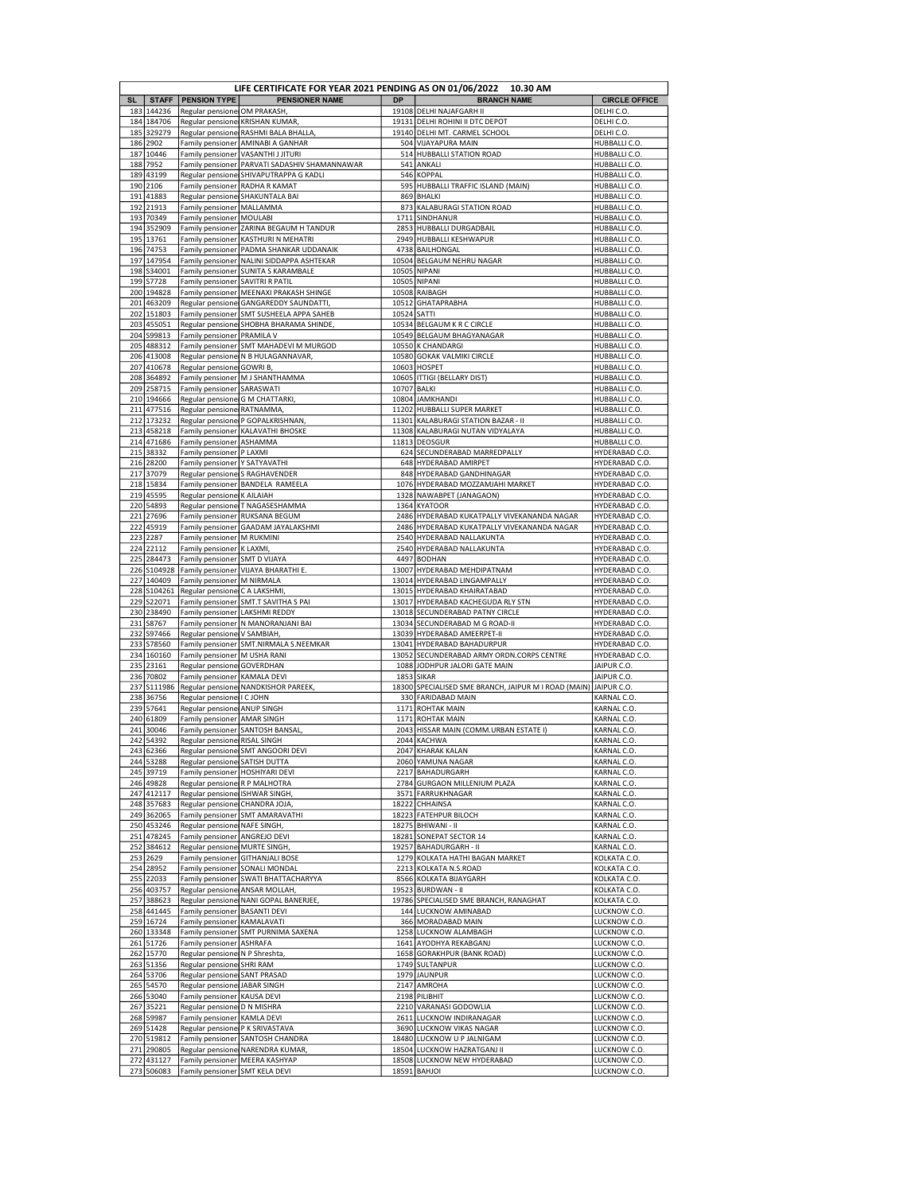|           |                            |                                                    | LIFE CERTIFICATE FOR YEAR 2021 PENDING AS ON 01/06/2022 10.30 AM |                |                                                                |                                  |
|-----------|----------------------------|----------------------------------------------------|------------------------------------------------------------------|----------------|----------------------------------------------------------------|----------------------------------|
| <b>SL</b> | <b>STAFF</b><br>183 144236 | <b>PENSION TYPE</b>                                | <b>PENSIONER NAME</b>                                            | <b>DP</b>      | <b>BRANCH NAME</b>                                             | <b>CIRCLE OFFICE</b>             |
|           | 184 184706                 | Regular pensione OM PRAKASH                        | Regular pensione KRISHAN KUMAR,                                  |                | 19108 DELHI NAJAFGARH II<br>19131 DELHI ROHINI II DTC DEPOT    | DELHI C.O.<br>DELHI C.O.         |
| 185       | 329279                     |                                                    | Regular pensione RASHMI BALA BHALLA                              |                | 19140 DELHI MT. CARMEL SCHOOL                                  | DELHI C.O.                       |
| 186       | 2902                       | Family pensioner                                   | AMINABI A GANHAR                                                 | 504            | <b>VIJAYAPURA MAIN</b>                                         | HUBBALLI C.O.                    |
| 187       | 10446                      | Family pensioner                                   | <b>VASANTHIJJITURI</b>                                           |                | 514 HUBBALLI STATION ROAD                                      | HUBBALLI C.O.                    |
| 188       | 7952                       | Family pensioner                                   | PARVATI SADASHIV SHAMANNAWAR                                     | 541<br>546     | ANKALI<br><b>KOPPAL</b>                                        | HUBBALLI C.O.                    |
| 189       | 43199<br>190 2106          | Regular pensione<br>Family pensioner RADHA R KAMAT | SHIVAPUTRAPPA G KADLI                                            | 595            | HUBBALLI TRAFFIC ISLAND (MAIN)                                 | HUBBALLI C.O.<br>HUBBALLI C.O    |
|           | 191 41883                  | Regular pensione                                   | <b>SHAKUNTALA BAI</b>                                            | 869            | <b>BHALKI</b>                                                  | HUBBALLI C.O                     |
|           | 192 21913                  | Family pensioner                                   | MALLAMMA                                                         | 873            | KALABURAGI STATION ROAD                                        | HUBBALLI C.O.                    |
|           | 193 70349                  | Family pensioner                                   | MOULABI                                                          | 1711           | SINDHANUR                                                      | HUBBALLI C.O.                    |
|           | 194 352909                 | Family pensioner                                   | <b>ZARINA BEGAUM H TANDUR</b>                                    | 2853           | <b>HUBBALLI DURGADBAIL</b>                                     | HUBBALLI C.O.                    |
|           | 195 13761<br>196 74753     | Family pensioner<br>Family pensioner               | KASTHURI N MEHATRI<br>PADMA SHANKAR UDDANAIK                     | 2949           | HUBBALLI KESHWAPUR<br>4738 BAILHONGAL                          | HUBBALLI C.O.<br>HUBBALLI C.O.   |
|           | 197 147954                 | Family pensioner                                   | NALINI SIDDAPPA ASHTEKAR                                         |                | 10504 BELGAUM NEHRU NAGAR                                      | HUBBALLI C.O                     |
|           | 198 S34001                 | Family pensioner                                   | <b>SUNITA S KARAMBALE</b>                                        | 10505          | <b>NIPANI</b>                                                  | HUBBALLI C.O.                    |
| 199       | S7728                      | Family pensioner                                   | <b>SAVITRI R PATIL</b>                                           | 10505          | <b>NIPANI</b>                                                  | HUBBALLI C.O.                    |
|           | 200 194828                 | Family pensioner                                   | MEENAXI PRAKASH SHINGE                                           | 10508          | RAIBAGH                                                        | HUBBALLI C.O.                    |
|           | 201 463209                 |                                                    | Regular pensione GANGAREDDY SAUNDATTI,                           |                | 10512 GHATAPRABHA                                              | HUBBALLI C.O.                    |
|           | 202 151803                 | Family pensioner                                   | SMT SUSHEELA APPA SAHEB                                          | 10524          | SATTI                                                          | HUBBALLI C.O                     |
|           | 203 455051<br>204 S99813   | Regular pensione<br>Family pensioner   PRAMILA V   | SHOBHA BHARAMA SHINDE,                                           |                | 10534 BELGAUM K R C CIRCLE<br>10549 BELGAUM BHAGYANAGAR        | HUBBALLI C.O.<br>HUBBALLI C.O.   |
|           | 205 488312                 | Family pensioner                                   | SMT MAHADEVI M MURGOD                                            | 10550          | <b>K CHANDARGI</b>                                             | HUBBALLI C.O.                    |
|           | 206 413008                 |                                                    | Regular pensione N B HULAGANNAVAR,                               | 10580          | <b>GOKAK VALMIKI CIRCLE</b>                                    | HUBBALLI C.O.                    |
|           | 207 410678                 | Regular pensione GOWRI B,                          |                                                                  | 10603          | <b>HOSPET</b>                                                  | HUBBALLI C.O.                    |
|           | 208 364892                 | Family pensioner                                   | M J SHANTHAMMA                                                   | 10605          | <b>ITTIGI (BELLARY DIST)</b>                                   | HUBBALLI C.O                     |
|           | 209 258715                 | Family pensioner                                   | SARASWATI                                                        | 10707          | <b>BALKI</b>                                                   | HUBBALLI C.O.                    |
|           | 210 194666                 | Regular pensione G M CHATTARKI,                    |                                                                  |                | 10804 JAMKHANDI                                                | HUBBALLI C.O.                    |
|           | 211 477516<br>212 173232   | Regular pensione RATNAMMA                          | Regular pensione P GOPALKRISHNAN                                 | 11202<br>11301 | HUBBALLI SUPER MARKET<br>KALABURAGI STATION BAZAR - II         | HUBBALLI C.O.<br>HUBBALLI C.O.   |
|           | 213 458218                 | Family pensioner                                   | <b>KALAVATHI BHOSKE</b>                                          | 11308          | KALABURAGI NUTAN VIDYALAYA                                     | HUBBALLI C.O                     |
|           | 214 471686                 | Family pensioner                                   | ASHAMMA                                                          | 11813          | <b>DEOSGUR</b>                                                 | HUBBALLI C.O.                    |
|           | 215 38332                  | Family pensioner   P LAXMI                         |                                                                  | 624            | SECUNDERABAD MARREDPALLY                                       | HYDERABAD C.O                    |
|           | 216 28200                  | Family pensioner                                   | Y SATYAVATHI                                                     | 648            | HYDERABAD AMIRPET                                              | HYDERABAD C.O                    |
|           | 217 37079                  |                                                    | Regular pensione S RAGHAVENDER                                   | 848            | <b>HYDERABAD GANDHINAGAR</b>                                   | HYDERABAD C.O.                   |
|           | 218 15834                  |                                                    | Family pensioner BANDELA RAMEELA                                 |                | 1076 HYDERABAD MOZZAMJAHI MARKET                               | HYDERABAD C.O                    |
| 220       | 219 45595<br>54893         | Regular pensione K AILAIAH                         | Regular pensione T NAGASESHAMMA                                  | 1364           | 1328 NAWABPET (JANAGAON)<br><b>KYATOOR</b>                     | HYDERABAD C.O.<br>HYDERABAD C.O. |
|           | 221 27696                  | Family pensioner                                   | RUKSANA BEGUM                                                    | 2486           | HYDERABAD KUKATPALLY VIVEKANANDA NAGAR                         | HYDERABAD C.O.                   |
|           | 222 45919                  | Family pensioner                                   | <b>GAADAM JAYALAKSHMI</b>                                        | 2486           | HYDERABAD KUKATPALLY VIVEKANANDA NAGAR                         | HYDERABAD C.O.                   |
|           | 223 2287                   | Family pensioner   M RUKMINI                       |                                                                  | 2540           | HYDERABAD NALLAKUNTA                                           | HYDERABAD C.O.                   |
|           | 224 22112                  | Family pensioner                                   | K LAXMI,                                                         |                | 2540 HYDERABAD NALLAKUNTA                                      | HYDERABAD C.O.                   |
|           | 225 284473                 | Family pensioner                                   | <b>SMT D VIJAYA</b>                                              | 4497           | <b>BODHAN</b>                                                  | HYDERABAD C.O.                   |
|           | 226 S104928                | Family pensioner                                   | VIJAYA BHARATHI E.                                               |                | 13007 HYDERABAD MEHDIPATNAM                                    | HYDERABAD C.O.                   |
|           | 227 140409<br>228 S104261  | Family pensioner<br>Regular pensione C A LAKSHMI   | M NIRMALA                                                        |                | 13014 HYDERABAD LINGAMPALLY<br>13015 HYDERABAD KHAIRATABAD     | HYDERABAD C.O                    |
|           | 229 S22071                 |                                                    | Family pensioner SMT.T SAVITHA S PAI                             |                | 13017 HYDERABAD KACHEGUDA RLY STN                              | HYDERABAD C.O.<br>HYDERABAD C.O. |
|           | 230 238490                 | Family pensioner                                   | <b>LAKSHMI REDDY</b>                                             |                | 13018 SECUNDERABAD PATNY CIRCLE                                | HYDERABAD C.O                    |
|           | 231 S8767                  | Family pensioner                                   | N MANORANJANI BAI                                                | 13034          | SECUNDERABAD M G ROAD-II                                       | HYDERABAD C.O.                   |
|           | 232 S97466                 | Regular pensione                                   | V SAMBIAH                                                        | 13039          | HYDERABAD AMEERPET-II                                          | HYDERABAD C.O                    |
|           | 233 S78560                 | Family pensioner                                   | SMT.NIRMALA S.NEEMKAR                                            | 13041          | HYDERABAD BAHADURPUR                                           | HYDERABAD C.O.                   |
|           | 234 160160                 | Family pensioner   M USHA RANI                     |                                                                  | 13052          | SECUNDERABAD ARMY ORDN.CORPS CENTRE                            | HYDERABAD C.O.                   |
| 236       | 235 23161<br>70802         | Regular pensione GOVERDHAN<br>Family pensioner     | KAMALA DEVI                                                      | 1088<br>1853   | JODHPUR JALORI GATE MAIN<br><b>SIKAR</b>                       | JAIPUR C.O.<br>JAIPUR C.O        |
|           | 237 S111986                |                                                    | Regular pensione NANDKISHOR PAREEK,                              | 18300          | SPECIALISED SME BRANCH, JAIPUR M I ROAD (MAIN)                 | JAIPUR C.O.                      |
| 238       | 36756                      | Regular pensione                                   | I C JOHN                                                         | 330            | <b>FARIDABAD MAIN</b>                                          | KARNAL C.O.                      |
| 239       | 57641                      | Regular pensione                                   | ANUP SINGH                                                       | 1171           | <b>ROHTAK MAIN</b>                                             | KARNAL C.O.                      |
| 240       | 61809                      | Family pensioner                                   | <b>AMAR SINGH</b>                                                | 1171           | <b>ROHTAK MAIN</b>                                             | KARNAL C.O.                      |
| 241       | 30046                      | Family pensioner                                   | SANTOSH BANSAL                                                   |                | 2043 HISSAR MAIN (COMM.URBAN ESTATE I)                         | KARNAL C.O                       |
| 242       | 54392                      | Regular pensione RISAL SINGH                       |                                                                  |                | 2044 KACHWA<br>2047 KHARAK KALAN                               | KARNAL C.O.<br>KARNAL C.O.       |
|           | 243 62366<br>244 53288     | Regular pensione SATISH DUTTA                      | Regular pensione SMT ANGOORI DEVI                                |                | 2060 YAMUNA NAGAR                                              | KARNAL C.O.                      |
|           | 245 39719                  | Family pensioner   HOSHIYARI DEVI                  |                                                                  |                | 2217 BAHADURGARH                                               | KARNAL C.O.                      |
|           | 246 49828                  | Regular pensione R P MALHOTRA                      |                                                                  |                | 2784 GURGAON MILLENIUM PLAZA                                   | KARNAL C.O.                      |
|           | 247 412117                 | Regular pensione ISHWAR SINGH,                     |                                                                  |                | 3571 FARRUKHNAGAR                                              | KARNAL C.O.                      |
|           | 248 357683                 | Regular pensione CHANDRA JOJA,                     |                                                                  |                | 18222 CHHAINSA                                                 | KARNAL C.O.                      |
|           | 249 362065<br>250 453246   | Family pensioner<br>Regular pensione NAFE SINGH,   | SMT AMARAVATHI                                                   |                | 18223 FATEHPUR BILOCH<br>18275 BHIWANI - II                    | KARNAL C.O.<br>KARNAL C.O.       |
|           | 251 478245                 | Family pensioner                                   | ANGREJO DEVI                                                     |                | 18281 SONEPAT SECTOR 14                                        | KARNAL C.O.                      |
|           | 252 384612                 | Regular pensione MURTE SINGH                       |                                                                  |                | 19257 BAHADURGARH - II                                         | KARNAL C.O.                      |
|           | 253 2629                   | Family pensioner                                   | <b>GITHANJALI BOSE</b>                                           |                | 1279 KOLKATA HATHI BAGAN MARKET                                | KOLKATA C.O.                     |
|           | 254 28952                  |                                                    | Family pensioner SONALI MONDAL                                   |                | 2213 KOLKATA N.S.ROAD                                          | KOLKATA C.O.                     |
|           | 255 22033                  | Family pensioner                                   | SWATI BHATTACHARYYA                                              |                | 8566 KOLKATA BIJAYGARH                                         | KOLKATA C.O.                     |
|           | 256 403757                 | Regular pensione ANSAR MOLLAH,                     |                                                                  |                | 19523 BURDWAN - II                                             | KOLKATA C.O.                     |
| 257       | 388623<br>258 441445       | Family pensioner                                   | Regular pensione NANI GOPAL BANERJEE<br><b>BASANTI DEVI</b>      |                | 19786 SPECIALISED SME BRANCH, RANAGHAT<br>144 LUCKNOW AMINABAD | KOLKATA C.O.<br>LUCKNOW C.O.     |
|           | 259 16724                  | Family pensioner                                   | KAMALAVATI                                                       |                | 366 MORADABAD MAIN                                             | LUCKNOW C.O.                     |
|           | 260 133348                 | Family pensioner                                   | <b>SMT PURNIMA SAXENA</b>                                        |                | 1258 LUCKNOW ALAMBAGH                                          | LUCKNOW C.O.                     |
|           | 261 51726                  | Family pensioner                                   | <b>ASHRAFA</b>                                                   | 1641           | AYODHYA REKABGANJ                                              | LUCKNOW C.O.                     |
|           | 262 15770                  | Regular pensione N P Shreshta,                     |                                                                  | 1658           | <b>GORAKHPUR (BANK ROAD)</b>                                   | LUCKNOW C.O.                     |
| 263       | 51356                      | Regular pensione SHRI RAM                          |                                                                  |                | 1749 SULTANPUR                                                 | LUCKNOW C.O.                     |
| 264       | 53706                      | Regular pensione                                   | <b>SANT PRASAD</b>                                               | 1979           | <b>JAUNPUR</b>                                                 | LUCKNOW C.O.                     |
|           | 265 54570<br>266 53040     | Regular pensione JABAR SINGH<br>Family pensioner   | <b>KAUSA DEVI</b>                                                |                | 2147 AMROHA<br>2198 PILIBHIT                                   | LUCKNOW C.O.<br>LUCKNOW C.O.     |
| 267       | 35221                      | Regular pensione D N MISHRA                        |                                                                  |                | 2210 VARANASI GODOWLIA                                         | LUCKNOW C.O.                     |
| 268       | 59987                      | Family pensioner   KAMLA DEVI                      |                                                                  |                | 2611 LUCKNOW INDIRANAGAR                                       | LUCKNOW C.O.                     |
|           | 269 51428                  | Regular pensione P K SRIVASTAVA                    |                                                                  |                | 3690 LUCKNOW VIKAS NAGAR                                       | LUCKNOW C.O.                     |
| 270       | 519812                     | Family pensioner                                   | <b>SANTOSH CHANDRA</b>                                           |                | 18480 LUCKNOW U P JALNIGAM                                     | LUCKNOW C.O.                     |
|           | 271 290805                 |                                                    | Regular pensione NARENDRA KUMAR,                                 |                | 18504 LUCKNOW HAZRATGANJ II                                    | LUCKNOW C.O.                     |
|           | 272 431127<br>273 506083   | Family pensioner<br>Family pensioner SMT KELA DEVI | <b>MEERA KASHYAP</b>                                             |                | 18508 LUCKNOW NEW HYDERABAD<br>18591 BAHJOI                    | LUCKNOW C.O.<br>LUCKNOW C.O.     |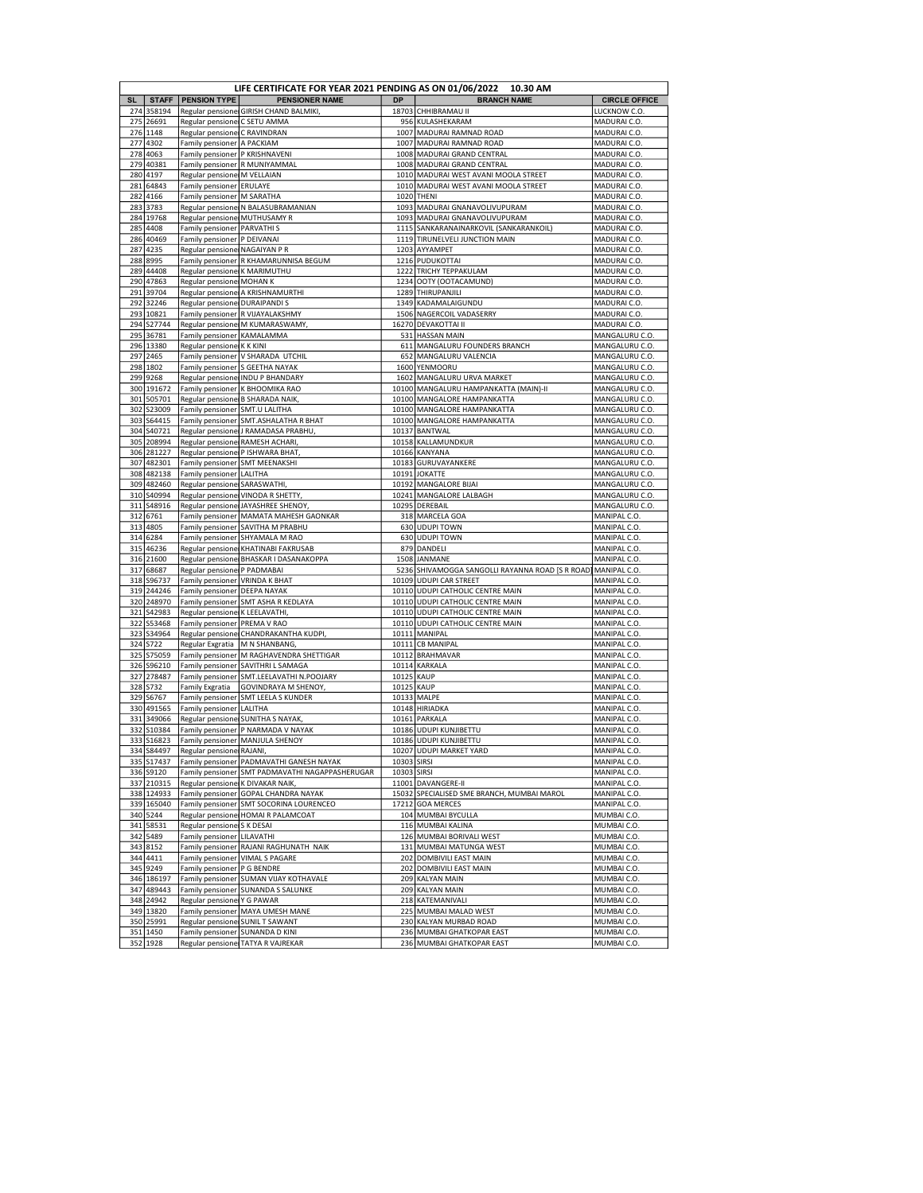|            | LIFE CERTIFICATE FOR YEAR 2021 PENDING AS ON 01/06/2022 10.30 AM |                                                    |                                                                                               |                      |                                                                      |                                 |
|------------|------------------------------------------------------------------|----------------------------------------------------|-----------------------------------------------------------------------------------------------|----------------------|----------------------------------------------------------------------|---------------------------------|
| <b>SL</b>  | <b>STAFF</b>                                                     | <b>PENSION TYPE</b>                                | <b>PENSIONER NAME</b>                                                                         | DP                   | <b>BRANCH NAME</b>                                                   | <b>CIRCLE OFFICE</b>            |
| 274        | 358194                                                           |                                                    | Regular pensione GIRISH CHAND BALMIKI,                                                        | 18703                | CHHIBRAMAU II                                                        | LUCKNOW C.O                     |
| 275        | 26691                                                            | Regular pensione C SETU AMMA                       |                                                                                               | 956                  | KULASHEKARAM                                                         | MADURAI C.O.                    |
| 276        | 1148                                                             | Regular pensione C RAVINDRAN                       |                                                                                               |                      | 1007 MADURAI RAMNAD ROAD                                             | MADURAI C.O.                    |
| 277        | 4302                                                             | Family pensioner A PACKIAM                         |                                                                                               | 1007                 | MADURAI RAMNAD ROAD                                                  | MADURAI C.O.                    |
| 278        | 4063                                                             | Family pensioner   P KRISHNAVENI                   |                                                                                               | 1008                 | MADURAI GRAND CENTRAL                                                | MADURAI C.O.                    |
| 279        | 40381                                                            |                                                    | Family pensioner R MUNIYAMMAL                                                                 | 1008                 | MADURAI GRAND CENTRAL                                                | MADURAI C.O.                    |
| 280        | 4197                                                             | Regular pensione M VELLAIAN                        |                                                                                               | 1010                 | MADURAI WEST AVANI MOOLA STREET                                      | MADURAI C.O.                    |
| 281        | 64843                                                            | Family pensioner ERULAYE                           |                                                                                               | 1010                 | MADURAI WEST AVANI MOOLA STREET                                      | MADURAI C.O.                    |
| 282<br>283 | 4166<br>3783                                                     | Family pensioner   M SARATHA                       | Regular pensione N BALASUBRAMANIAN                                                            | 1093                 | 1020 THENI<br>MADURAI GNANAVOLIVUPURAM                               | MADURAI C.O.<br>MADURAI C.O.    |
| 284        | 19768                                                            | Regular pensione MUTHUSAMY R                       |                                                                                               | 1093                 | MADURAI GNANAVOLIVUPURAM                                             | MADURAI C.O.                    |
| 285        | 4408                                                             | Family pensioner                                   | <b>PARVATHIS</b>                                                                              | 1115                 | SANKARANAINARKOVIL (SANKARANKOIL)                                    | MADURAI C.O.                    |
| 286        | 40469                                                            | Family pensioner   P DEIVANAI                      |                                                                                               | 1119                 | TIRUNELVELI JUNCTION MAIN                                            | MADURAI C.O.                    |
| 287        | 4235                                                             | Regular pensione NAGAIYAN P R                      |                                                                                               | 1203                 | AYYAMPET                                                             | MADURAI C.O.                    |
| 288        | 8995                                                             | Family pensioner                                   | R KHAMARUNNISA BEGUM                                                                          | 1216                 | PUDUKOTTAI                                                           | MADURAI C.O.                    |
| 289        | 44408                                                            | Regular pensione K MARIMUTHU                       |                                                                                               | 1222                 | <b>TRICHY TEPPAKULAM</b>                                             | MADURAI C.O                     |
| 290        | 47863                                                            | Regular pensione MOHAN K                           |                                                                                               |                      | 1234 OOTY (OOTACAMUND                                                | MADURAI C.O.                    |
| 291        | 39704                                                            |                                                    | Regular pensione A KRISHNAMURTHI                                                              | 1289                 | THIRUPANJILI                                                         | MADURAI C.O.                    |
| 292        | 32246                                                            | Regular pensione DURAIPANDIS                       |                                                                                               | 1349                 | KADAMALAIGUNDU                                                       | MADURAI C.O.                    |
| 293        | 10821                                                            |                                                    | Family pensioner R VIJAYALAKSHMY                                                              |                      | 1506 NAGERCOIL VADASERRY                                             | MADURAI C.O.                    |
| 294        | S27744                                                           | Regular pensione                                   | M KUMARASWAMY                                                                                 | 16270                | <b>DEVAKOTTAI II</b>                                                 | MADURAI C.O.                    |
| 295        | 36781                                                            | Family pensioner   KAMALAMMA                       |                                                                                               | 531                  | <b>HASSAN MAIN</b>                                                   | MANGALURU C.O                   |
| 296        | 13380                                                            | Regular pensione K K KINI                          |                                                                                               |                      | 611 MANGALURU FOUNDERS BRANCH                                        | MANGALURU C.O.                  |
| 297        | 2465                                                             |                                                    | Family pensioner   V SHARADA UTCHIL                                                           | 652                  | MANGALURU VALENCIA                                                   | MANGALURU C.O.                  |
| 298        | 1802                                                             |                                                    | Family pensioner S GEETHA NAYAK                                                               | 1600                 | YENMOORU                                                             | MANGALURU C.O                   |
| 299        | 9268                                                             | Regular pensionel                                  | <b>INDU P BHANDARY</b>                                                                        | 1602                 | MANGALURU URVA MARKET                                                | MANGALURU C.O                   |
| 300        | 191672                                                           |                                                    | Family pensioner K BHOOMIKA RAO                                                               |                      | 10100 MANGALURU HAMPANKATTA (MAIN)-II<br>10100 MANGALORE HAMPANKATTA | MANGALURU C.O.                  |
| 301<br>302 | 505701<br>S23009                                                 | Family pensioner                                   | Regular pensione B SHARADA NAIK,<br>SMT.U LALITHA                                             | 10100                | MANGALORE HAMPANKATTA                                                | MANGALURU C.O<br>MANGALURU C.O. |
| 303        | S64415                                                           |                                                    | Family pensioner SMT.ASHALATHA R BHAT                                                         | 10100                | MANGALORE HAMPANKATTA                                                | MANGALURU C.O.                  |
| 304        | S40721                                                           |                                                    | Regular pensione J RAMADASA PRABHU                                                            | 10137                | <b>BANTWAL</b>                                                       | MANGALURU C.O.                  |
| 305        | 208994                                                           | Regular pensione                                   | RAMESH ACHARI                                                                                 | 10158                | KALLAMUNDKUR                                                         | MANGALURU C.O.                  |
| 306        | 281227                                                           |                                                    | Regular pensione P ISHWARA BHAT                                                               | 10166                | <b>KANYANA</b>                                                       | MANGALURU C.O                   |
| 307        | 482301                                                           | Family pensioner                                   | <b>SMT MEENAKSHI</b>                                                                          |                      | 10183 GURUVAYANKERE                                                  | MANGALURU C.O.                  |
| 308        | 482138                                                           | Family pensioner   LALITHA                         |                                                                                               | 10191                | <b>JOKATTE</b>                                                       | MANGALURU C.O.                  |
| 309        | 482460                                                           | Regular pensione                                   | SARASWATHI,                                                                                   | 10192                | <b>MANGALORE BIJAI</b>                                               | MANGALURU C.O                   |
| 310        | S40994                                                           | Regular pensione                                   | VINODA R SHETTY,                                                                              | 10241                | MANGALORE LALBAGH                                                    | MANGALURU C.O.                  |
| 311        | S48916                                                           | Regular pensione                                   | JAYASHREE SHENOY,                                                                             | 10295                | DEREBAIL                                                             | MANGALURU C.O.                  |
| 312        | 6761                                                             | Family pensioner                                   | MAMATA MAHESH GAONKAR                                                                         | 318                  | MARCELA GOA                                                          | MANIPAL C.O.                    |
| 313        | 4805                                                             | Family pensioner                                   | SAVITHA M PRABHL                                                                              | 630                  | <b>UDUPITOWN</b>                                                     | MANIPAL C.O.                    |
| 314        | 6284                                                             |                                                    | Family pensioner SHYAMALA M RAO                                                               | 630                  | <b>UDUPITOWN</b>                                                     | MANIPAL C.O                     |
| 315        | 46236                                                            |                                                    | Regular pensione KHATINABI FAKRUSAB                                                           |                      | 879 DANDELI                                                          | MANIPAL C.O                     |
| 316        | 21600                                                            | Regular pensione                                   | BHASKAR I DASANAKOPPA                                                                         | 1508                 | JANMANE                                                              | MANIPAL C.O.                    |
| 317        | 68687                                                            | Regular pensione P PADMABAI                        |                                                                                               | 5236                 | SHIVAMOGGA SANGOLLI RAYANNA ROAD [S R ROAD]                          | MANIPAL C.O.                    |
| 318        | S96737                                                           | Family pensioner   VRINDA K BHAT                   |                                                                                               |                      | 10109 UDUPI CAR STREET                                               | MANIPAL C.O.                    |
| 319<br>320 | 244246<br>248970                                                 | Family pensioner   DEEPA NAYAK<br>Family pensioner | SMT ASHA R KEDLAYA                                                                            | 10110                | UDUPI CATHOLIC CENTRE MAIN<br>10110 UDUPI CATHOLIC CENTRE MAIN       | MANIPAL C.O.<br>MANIPAL C.O.    |
| 321        | S42983                                                           | Regular pensione K LEELAVATHI                      |                                                                                               |                      | 10110 UDUPI CATHOLIC CENTRE MAIN                                     | MANIPAL C.O                     |
| 322        | S53468                                                           | Family pensioner   PREMA V RAO                     |                                                                                               | 10110                | UDUPI CATHOLIC CENTRE MAIN                                           | MANIPAL C.O.                    |
| 323        | S34964                                                           | Regular pensione                                   | CHANDRAKANTHA KUDPI                                                                           | 10111                | MANIPAL                                                              | MANIPAL C.O                     |
| 324        | S722                                                             | Regular Exgratia                                   | M N SHANBANG,                                                                                 | 10111                | <b>CB MANIPAL</b>                                                    | MANIPAL C.O.                    |
| 325        | S75059                                                           |                                                    | Family pensioner   M RAGHAVENDRA SHETTIGAR                                                    | 10112                | <b>BRAHMAVAR</b>                                                     | MANIPAL C.O                     |
| 326        | S96210                                                           |                                                    | Family pensioner SAVITHRI L SAMAGA                                                            | 10114                | KARKALA                                                              | MANIPAL C.O                     |
| 327        | 278487                                                           | Family pensioner                                   | SMT.LEELAVATHI N.POOJARY                                                                      | 10125                | <b>KAUP</b>                                                          | MANIPAL C.O.                    |
| 328        | S732                                                             | Family Exgratia                                    | <b>GOVINDRAYA M SHENOY,</b>                                                                   | 10125                | <b>KAUP</b>                                                          | MANIPAL C.O.                    |
| 329        | S6767                                                            | Family pensioner                                   | SMT LEELA S KUNDER                                                                            | 10133                | MALPE                                                                | MANIPAL C.O.                    |
| 330        | 491565                                                           | Family pensioner                                   | LALITHA                                                                                       | 10148                | <b>HIRIADKA</b>                                                      | MANIPAL C.O.                    |
| 331        | 349066                                                           | Regular pensione                                   | <b>SUNITHA S NAYAK</b>                                                                        |                      | 10161 PARKALA                                                        | MANIPAL C.O.                    |
| 332        | S10384                                                           | Family pensioner                                   | P NARMADA V NAYAK                                                                             |                      | 10186 UDUPI KUNJIBETTU                                               | MANIPAL C.O                     |
| 333        | S16823<br>334 S84497                                             |                                                    | Family pensioner   MANJULA SHENOY                                                             | 10207                | 10186 UDUPI KUNJIBETTU<br><b>UDUPI MARKET YARD</b>                   | MANIPAL C.O.<br>MANIPAL C.O.    |
|            |                                                                  | Regular pensione RAJANI                            |                                                                                               |                      |                                                                      |                                 |
| 336        | 335 S17437<br>S9120                                              |                                                    | Family pensioner   PADMAVATHI GANESH NAYAK<br>Family pensioner SMT PADMAVATHI NAGAPPASHERUGAR | 10303 SIRSI<br>10303 | SIRSI                                                                | MANIPAL C.O.<br>MANIPAL C.O.    |
| 337        | 210315                                                           |                                                    | Regular pensione K DIVAKAR NAIK,                                                              |                      | 11001 DAVANGERE-II                                                   | MANIPAL C.O.                    |
| 338        | 124933                                                           |                                                    | Family pensioner GOPAL CHANDRA NAYAK                                                          | 15032                | SPECIALISED SME BRANCH, MUMBAI MAROL                                 | MANIPAL C.O.                    |
|            | 339 165040                                                       |                                                    | Family pensioner SMT SOCORINA LOURENCEO                                                       |                      | 17212 GOA MERCES                                                     | MANIPAL C.O.                    |
| 340        | 5244                                                             |                                                    | Regular pensione HOMAI R PALAMCOAT                                                            |                      | 104 MUMBAI BYCULLA                                                   | MUMBAI C.O.                     |
| 341        | 58531                                                            | Regular pensione S K DESAI                         |                                                                                               |                      | 116 MUMBAI KALINA                                                    | MUMBAI C.O.                     |
| 342        | 5489                                                             | Family pensioner   LILAVATHI                       |                                                                                               |                      | 126 MUMBAI BORIVALI WEST                                             | MUMBAI C.O.                     |
|            | 343 8152                                                         |                                                    | Family pensioner RAJANI RAGHUNATH NAIK                                                        |                      | 131 MUMBAI MATUNGA WEST                                              | MUMBAI C.O.                     |
| 344        | 4411                                                             |                                                    | Family pensioner VIMAL S PAGARE                                                               |                      | 202 DOMBIVILI EAST MAIN                                              | MUMBAI C.O.                     |
| 345        | 9249                                                             | Family pensioner   P G BENDRE                      |                                                                                               |                      | 202 DOMBIVILI EAST MAIN                                              | MUMBAI C.O.                     |
|            | 346 186197                                                       |                                                    | Family pensioner SUMAN VIJAY KOTHAVALE                                                        |                      | 209 KALYAN MAIN                                                      | MUMBAI C.O.                     |
| 347        | 489443                                                           |                                                    | Family pensioner SUNANDA S SALUNKE                                                            |                      | 209 KALYAN MAIN                                                      | MUMBAI C.O.                     |
| 348        | 24942                                                            | Regular pensione Y G PAWAR                         |                                                                                               |                      | 218 KATEMANIVALI                                                     | MUMBAI C.O.                     |
| 349        | 13820                                                            | Family pensioner                                   | MAYA UMESH MANE                                                                               |                      | 225 MUMBAI MALAD WEST                                                | MUMBAI C.O.                     |
|            | 350 25991                                                        |                                                    | Regular pensione SUNIL T SAWANT                                                               |                      | 230 KALYAN MURBAD ROAD                                               | MUMBAI C.O.                     |
|            | 351 1450                                                         |                                                    | Family pensioner SUNANDA D KINI                                                               |                      | 236 MUMBAI GHATKOPAR EAST                                            | MUMBAI C.O.                     |
|            | 352 1928                                                         |                                                    | Regular pensione TATYA R VAJREKAR                                                             |                      | 236 MUMBAI GHATKOPAR EAST                                            | MUMBAI C.O.                     |